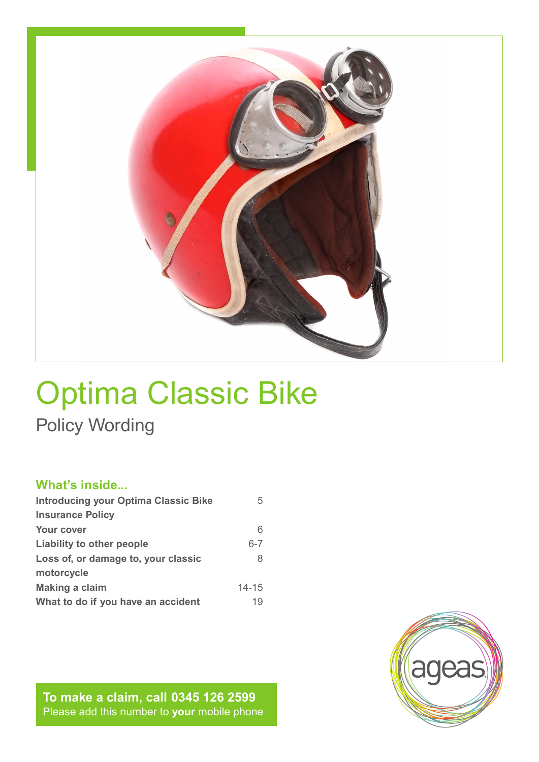

# Optima Classic Bike Policy Wording

### **What's inside...**

| <b>Introducing your Optima Classic Bike</b> | 5         |
|---------------------------------------------|-----------|
| <b>Insurance Policy</b>                     |           |
| Your cover                                  | 6         |
| Liability to other people                   | $6 - 7$   |
| Loss of, or damage to, your classic         | 8         |
| motorcycle                                  |           |
| <b>Making a claim</b>                       | $14 - 15$ |
| What to do if you have an accident          | 19        |

**To make a claim, call 0345 126 2599** Please add this number to **your** mobile phone

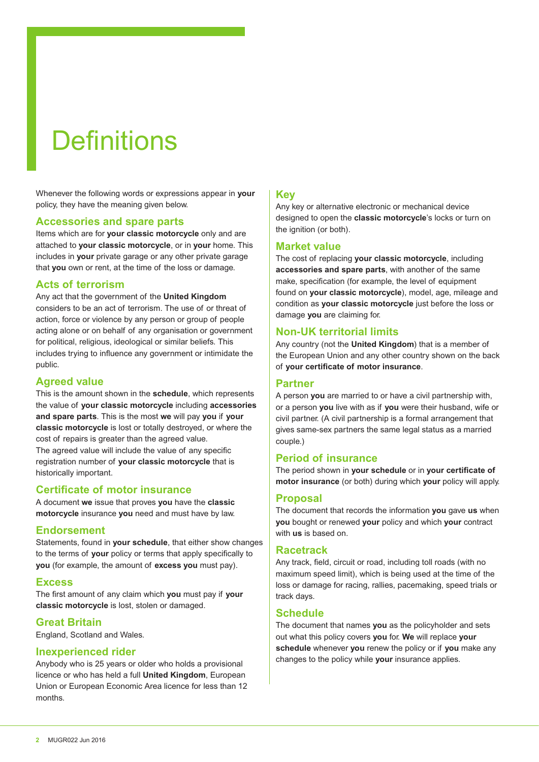# **Definitions**

Whenever the following words or expressions appear in **your** policy, they have the meaning given below.

#### **Accessories and spare parts**

Items which are for **your classic motorcycle** only and are attached to **your classic motorcycle**, or in **your** home. This includes in **your** private garage or any other private garage that **you** own or rent, at the time of the loss or damage.

#### **Acts of terrorism**

Any act that the government of the **United Kingdom** considers to be an act of terrorism. The use of or threat of action, force or violence by any person or group of people acting alone or on behalf of any organisation or government for political, religious, ideological or similar beliefs. This includes trying to influence any government or intimidate the public.

#### **Agreed value**

This is the amount shown in the **schedule**, which represents the value of **your classic motorcycle** including **accessories and spare parts**. This is the most **we** will pay **you** if **your classic motorcycle** is lost or totally destroyed, or where the cost of repairs is greater than the agreed value.

The agreed value will include the value of any specific registration number of **your classic motorcycle** that is historically important.

#### **Certificate of motor insurance**

A document **we** issue that proves **you** have the **classic motorcycle** insurance **you** need and must have by law.

#### **Endorsement**

Statements, found in **your schedule**, that either show changes to the terms of **your** policy or terms that apply specifically to **you** (for example, the amount of **excess you** must pay).

#### **Excess**

The first amount of any claim which **you** must pay if **your classic motorcycle** is lost, stolen or damaged.

#### **Great Britain**

England, Scotland and Wales.

#### **Inexperienced rider**

Anybody who is 25 years or older who holds a provisional licence or who has held a full **United Kingdom**, European Union or European Economic Area licence for less than 12 months.

#### **Key**

Any key or alternative electronic or mechanical device designed to open the **classic motorcycle**'s locks or turn on the ignition (or both).

#### **Market value**

The cost of replacing **your classic motorcycle**, including **accessories and spare parts**, with another of the same make, specification (for example, the level of equipment found on **your classic motorcycle**), model, age, mileage and condition as **your classic motorcycle** just before the loss or damage **you** are claiming for.

#### **Non-UK territorial limits**

Any country (not the **United Kingdom**) that is a member of the European Union and any other country shown on the back of **your certificate of motor insurance**.

#### **Partner**

A person **you** are married to or have a civil partnership with, or a person **you** live with as if **you** were their husband, wife or civil partner. (A civil partnership is a formal arrangement that gives same-sex partners the same legal status as a married couple.)

#### **Period of insurance**

The period shown in **your schedule** or in **your certificate of motor insurance** (or both) during which **your** policy will apply.

#### **Proposal**

The document that records the information **you** gave **us** when **you** bought or renewed **your** policy and which **your** contract with **us** is based on.

#### **Racetrack**

Any track, field, circuit or road, including toll roads (with no maximum speed limit), which is being used at the time of the loss or damage for racing, rallies, pacemaking, speed trials or track days.

#### **Schedule**

The document that names **you** as the policyholder and sets out what this policy covers **you** for. **We** will replace **your schedule** whenever **you** renew the policy or if **you** make any changes to the policy while **your** insurance applies.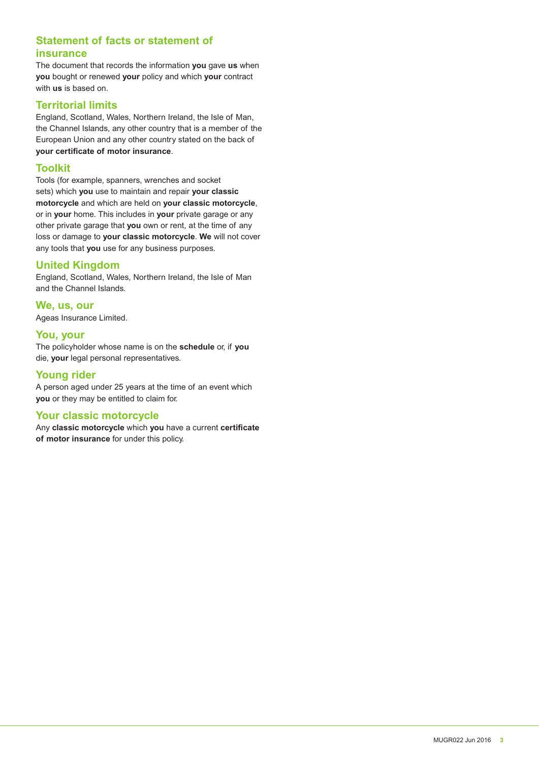#### **Statement of facts or statement of insurance**

The document that records the information **you** gave **us** when **you** bought or renewed **your** policy and which **your** contract with **us** is based on.

#### **Territorial limits**

England, Scotland, Wales, Northern Ireland, the Isle of Man, the Channel Islands, any other country that is a member of the European Union and any other country stated on the back of **your certificate of motor insurance**.

#### **Toolkit**

Tools (for example, spanners, wrenches and socket sets) which **you** use to maintain and repair **your classic motorcycle** and which are held on **your classic motorcycle**, or in **your** home. This includes in **your** private garage or any other private garage that **you** own or rent, at the time of any loss or damage to **your classic motorcycle**. **We** will not cover any tools that **you** use for any business purposes.

#### **United Kingdom**

England, Scotland, Wales, Northern Ireland, the Isle of Man and the Channel Islands.

**We, us, our**  Ageas Insurance Limited.

#### **You, your**

The policyholder whose name is on the **schedule** or, if **you** die, **your** legal personal representatives.

#### **Young rider**

A person aged under 25 years at the time of an event which **you** or they may be entitled to claim for.

#### **Your classic motorcycle**

Any **classic motorcycle** which **you** have a current **certificate of motor insurance** for under this policy.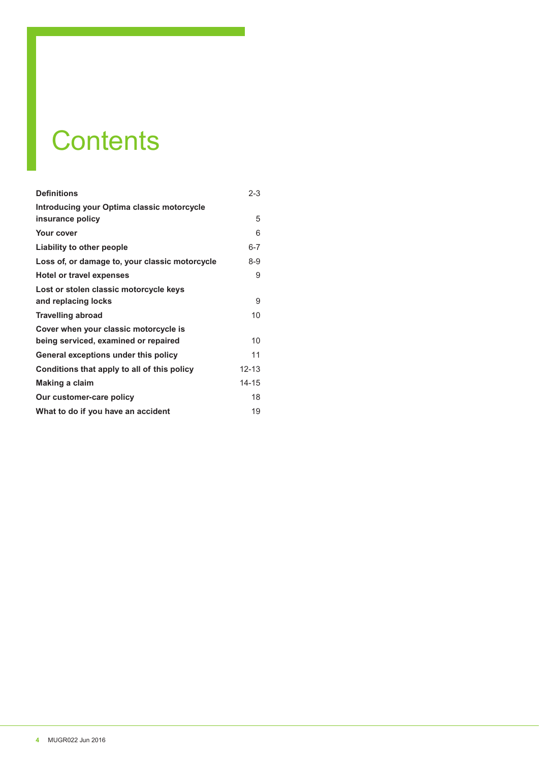# **Contents**

| <b>Definitions</b>                                                            | $2 - 3$   |
|-------------------------------------------------------------------------------|-----------|
| Introducing your Optima classic motorcycle<br>insurance policy                | 5         |
| Your cover                                                                    | 6         |
| Liability to other people                                                     | $6 - 7$   |
| Loss of, or damage to, your classic motorcycle                                | $8-9$     |
| <b>Hotel or travel expenses</b>                                               | 9         |
| Lost or stolen classic motorcycle keys<br>and replacing locks                 | 9         |
| <b>Travelling abroad</b>                                                      | 10        |
| Cover when your classic motorcycle is<br>being serviced, examined or repaired | 10        |
| General exceptions under this policy                                          | 11        |
| Conditions that apply to all of this policy                                   | 12-13     |
| Making a claim                                                                | $14 - 15$ |
| Our customer-care policy                                                      | 18        |
| What to do if you have an accident                                            | 19        |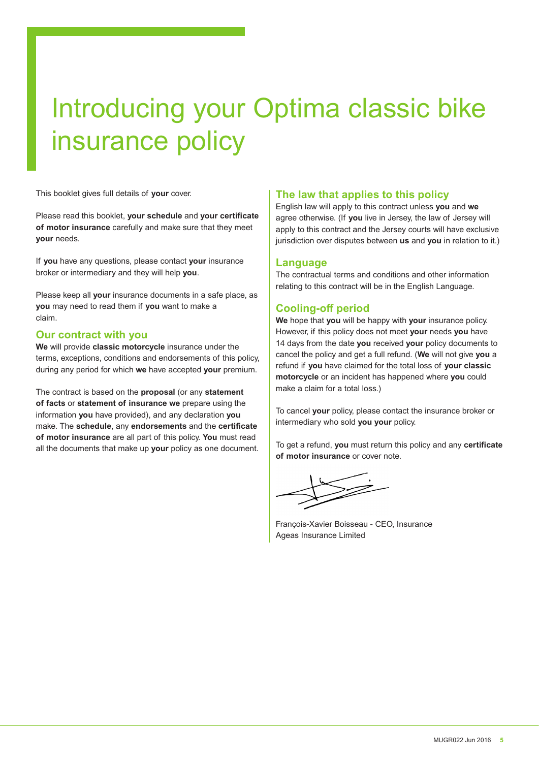# Introducing your Optima classic bike insurance policy

This booklet gives full details of **your** cover.

Please read this booklet, **your schedule** and **your certificate of motor insurance** carefully and make sure that they meet **your** needs.

If **you** have any questions, please contact **your** insurance broker or intermediary and they will help **you**.

Please keep all **your** insurance documents in a safe place, as **you** may need to read them if **you** want to make a claim.

#### **Our contract with you**

**We** will provide **classic motorcycle** insurance under the terms, exceptions, conditions and endorsements of this policy, during any period for which **we** have accepted **your** premium.

The contract is based on the **proposal** (or any **statement of facts** or **statement of insurance we** prepare using the information **you** have provided), and any declaration **you** make. The **schedule**, any **endorsements** and the **certificate of motor insurance** are all part of this policy. **You** must read all the documents that make up **your** policy as one document.

#### **The law that applies to this policy**

English law will apply to this contract unless **you** and **we** agree otherwise. (If **you** live in Jersey, the law of Jersey will apply to this contract and the Jersey courts will have exclusive jurisdiction over disputes between **us** and **you** in relation to it.)

#### **Language**

The contractual terms and conditions and other information relating to this contract will be in the English Language.

#### **Cooling-off period**

**We** hope that **you** will be happy with **your** insurance policy. However, if this policy does not meet **your** needs **you** have 14 days from the date **you** received **your** policy documents to cancel the policy and get a full refund. (**We** will not give **you** a refund if **you** have claimed for the total loss of **your classic motorcycle** or an incident has happened where **you** could make a claim for a total loss.)

To cancel **your** policy, please contact the insurance broker or intermediary who sold **you your** policy.

To get a refund, **you** must return this policy and any **certificate of motor insurance** or cover note.

François-Xavier Boisseau - CEO, Insurance Ageas Insurance Limited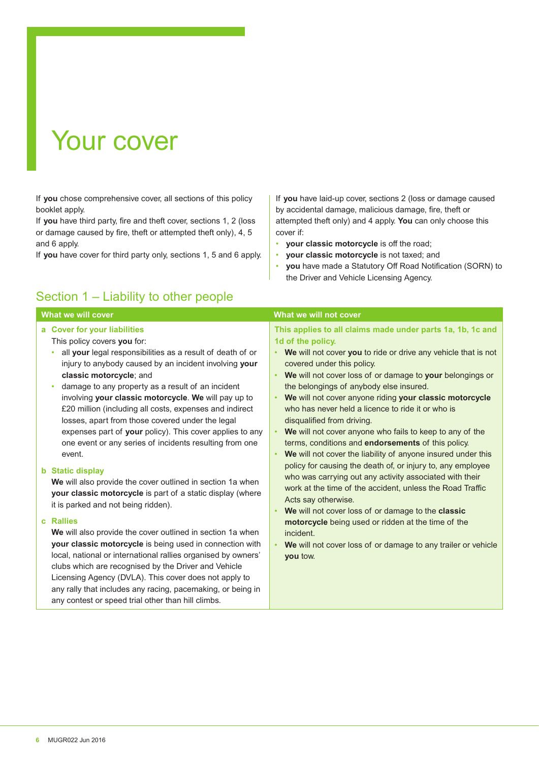## Your cover

If **you** chose comprehensive cover, all sections of this policy booklet apply.

If **you** have third party, fire and theft cover, sections 1, 2 (loss or damage caused by fire, theft or attempted theft only), 4, 5 and 6 apply.

If **you** have cover for third party only, sections 1, 5 and 6 apply.

### Section 1 – Liability to other people

If **you** have laid-up cover, sections 2 (loss or damage caused by accidental damage, malicious damage, fire, theft or attempted theft only) and 4 apply. **You** can only choose this cover if:

- **your classic motorcycle** is off the road;
- **your classic motorcycle** is not taxed; and
- **you** have made a Statutory Off Road Notification (SORN) to the Driver and Vehicle Licensing Agency.

| What we will cover                                                                                                                                                                                                                                                                                                                                                                                                                         | What we will not cover                                                                                                                                                                                                                                                                                                                                                                                                                                                                                     |
|--------------------------------------------------------------------------------------------------------------------------------------------------------------------------------------------------------------------------------------------------------------------------------------------------------------------------------------------------------------------------------------------------------------------------------------------|------------------------------------------------------------------------------------------------------------------------------------------------------------------------------------------------------------------------------------------------------------------------------------------------------------------------------------------------------------------------------------------------------------------------------------------------------------------------------------------------------------|
| a Cover for your liabilities<br>This policy covers you for:<br>all your legal responsibilities as a result of death of or<br>۰<br>injury to anybody caused by an incident involving your<br>classic motorcycle; and<br>damage to any property as a result of an incident<br>$\bullet$<br>involving your classic motorcycle. We will pay up to<br>£20 million (including all costs, expenses and indirect                                   | This applies to all claims made under parts 1a, 1b, 1c and<br>1d of the policy.<br>We will not cover you to ride or drive any vehicle that is not<br>٠<br>covered under this policy.<br>We will not cover loss of or damage to your belongings or<br>$\bullet$<br>the belongings of anybody else insured.<br>We will not cover anyone riding your classic motorcycle<br>$\bullet$<br>who has never held a licence to ride it or who is                                                                     |
| losses, apart from those covered under the legal<br>expenses part of your policy). This cover applies to any<br>one event or any series of incidents resulting from one<br>event.<br><b>b</b> Static display<br>We will also provide the cover outlined in section 1a when<br>your classic motorcycle is part of a static display (where<br>it is parked and not being ridden).                                                            | disqualified from driving.<br>We will not cover anyone who fails to keep to any of the<br>$\bullet$<br>terms, conditions and endorsements of this policy.<br>We will not cover the liability of anyone insured under this<br>$\bullet$<br>policy for causing the death of, or injury to, any employee<br>who was carrying out any activity associated with their<br>work at the time of the accident, unless the Road Traffic<br>Acts say otherwise.<br>We will not cover loss of or damage to the classic |
| c Rallies<br>We will also provide the cover outlined in section 1a when<br>your classic motorcycle is being used in connection with<br>local, national or international rallies organised by owners'<br>clubs which are recognised by the Driver and Vehicle<br>Licensing Agency (DVLA). This cover does not apply to<br>any rally that includes any racing, pacemaking, or being in<br>any contest or speed trial other than hill climbs. | motorcycle being used or ridden at the time of the<br>incident.<br>We will not cover loss of or damage to any trailer or vehicle<br>$\bullet$<br>you tow.                                                                                                                                                                                                                                                                                                                                                  |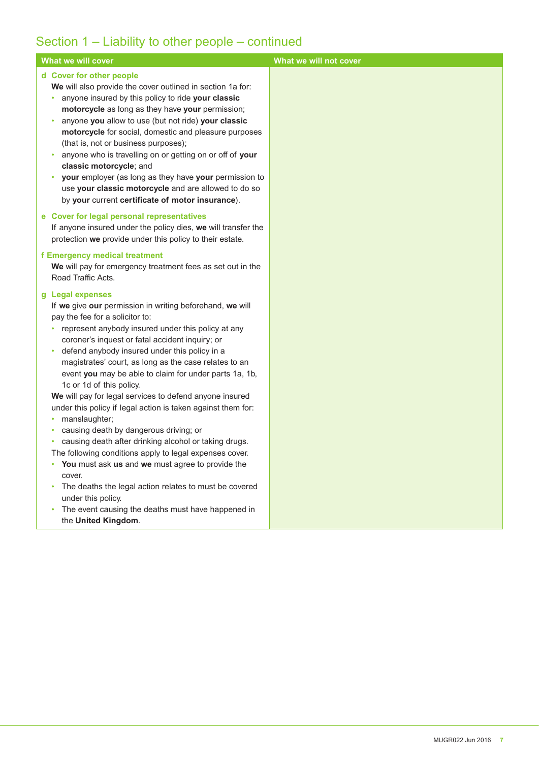## Section 1 – Liability to other people – continued

| What we will cover                                                                                                                                                                                                                                                                                                                                                                                                                                                                                                                                                                                                                                                                                                                                                                                                                                                                                                | What we will not cover |
|-------------------------------------------------------------------------------------------------------------------------------------------------------------------------------------------------------------------------------------------------------------------------------------------------------------------------------------------------------------------------------------------------------------------------------------------------------------------------------------------------------------------------------------------------------------------------------------------------------------------------------------------------------------------------------------------------------------------------------------------------------------------------------------------------------------------------------------------------------------------------------------------------------------------|------------------------|
| d Cover for other people<br>We will also provide the cover outlined in section 1a for:<br>anyone insured by this policy to ride your classic<br>$\bullet$<br>motorcycle as long as they have your permission;<br>anyone you allow to use (but not ride) your classic<br>$\bullet$<br>motorcycle for social, domestic and pleasure purposes<br>(that is, not or business purposes);<br>anyone who is travelling on or getting on or off of your<br>$\bullet$<br>classic motorcycle; and<br>your employer (as long as they have your permission to<br>$\bullet$<br>use your classic motorcycle and are allowed to do so<br>by your current certificate of motor insurance).                                                                                                                                                                                                                                         |                        |
| e Cover for legal personal representatives<br>If anyone insured under the policy dies, we will transfer the<br>protection we provide under this policy to their estate.                                                                                                                                                                                                                                                                                                                                                                                                                                                                                                                                                                                                                                                                                                                                           |                        |
| f Emergency medical treatment<br>We will pay for emergency treatment fees as set out in the<br>Road Traffic Acts.                                                                                                                                                                                                                                                                                                                                                                                                                                                                                                                                                                                                                                                                                                                                                                                                 |                        |
| g Legal expenses<br>If we give our permission in writing beforehand, we will<br>pay the fee for a solicitor to:<br>represent anybody insured under this policy at any<br>٠<br>coroner's inquest or fatal accident inquiry; or<br>defend anybody insured under this policy in a<br>$\bullet$<br>magistrates' court, as long as the case relates to an<br>event you may be able to claim for under parts 1a, 1b,<br>1c or 1d of this policy.<br>We will pay for legal services to defend anyone insured<br>under this policy if legal action is taken against them for:<br>manslaughter;<br>causing death by dangerous driving; or<br>٠<br>causing death after drinking alcohol or taking drugs.<br>٠<br>The following conditions apply to legal expenses cover.<br>You must ask us and we must agree to provide the<br>۰<br>cover.<br>The deaths the legal action relates to must be covered<br>under this policy. |                        |
| The event causing the deaths must have happened in<br>the United Kingdom.                                                                                                                                                                                                                                                                                                                                                                                                                                                                                                                                                                                                                                                                                                                                                                                                                                         |                        |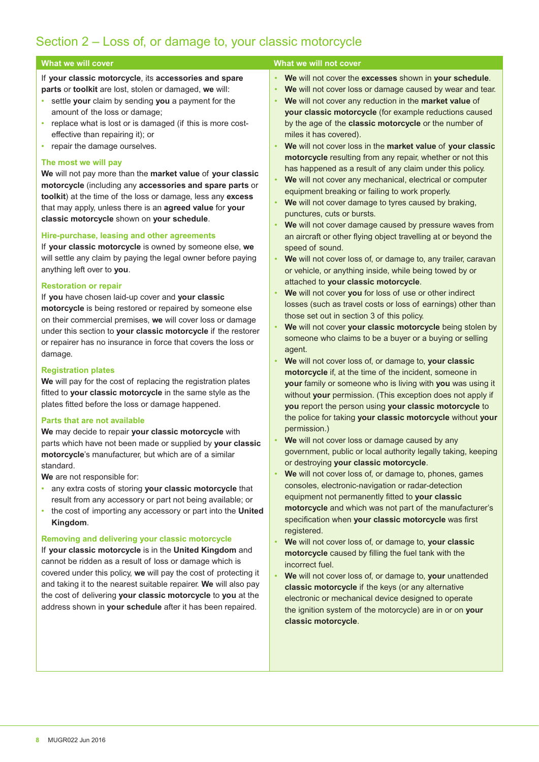### Section 2 – Loss of, or damage to, your classic motorcycle

If **your classic motorcycle**, its **accessories and spare parts** or **toolkit** are lost, stolen or damaged, **we** will:

- settle **your** claim by sending **you** a payment for the amount of the loss or damage;
- replace what is lost or is damaged (if this is more costeffective than repairing it); or
- repair the damage ourselves.

#### **The most we will pay**

**We** will not pay more than the **market value** of **your classic motorcycle** (including any **accessories and spare parts** or **toolkit**) at the time of the loss or damage, less any **excess** that may apply, unless there is an **agreed value** for **your classic motorcycle** shown on **your schedule**.

#### **Hire-purchase, leasing and other agreements**

If **your classic motorcycle** is owned by someone else, **we** will settle any claim by paying the legal owner before paying anything left over to **you**.

#### **Restoration or repair**

If **you** have chosen laid-up cover and **your classic motorcycle** is being restored or repaired by someone else on their commercial premises, **we** will cover loss or damage under this section to **your classic motorcycle** if the restorer or repairer has no insurance in force that covers the loss or damage.

#### **Registration plates**

**We** will pay for the cost of replacing the registration plates fitted to **your classic motorcycle** in the same style as the plates fitted before the loss or damage happened.

#### **Parts that are not available**

**We** may decide to repair **your classic motorcycle** with parts which have not been made or supplied by **your classic motorcycle**'s manufacturer, but which are of a similar standard.

**We** are not responsible for:

- any extra costs of storing **your classic motorcycle** that result from any accessory or part not being available; or
- the cost of importing any accessory or part into the **United Kingdom**.

#### **Removing and delivering your classic motorcycle**

If **your classic motorcycle** is in the **United Kingdom** and cannot be ridden as a result of loss or damage which is covered under this policy, **we** will pay the cost of protecting it and taking it to the nearest suitable repairer. **We** will also pay the cost of delivering **your classic motorcycle** to **you** at the address shown in **your schedule** after it has been repaired.

#### **What we will cover What we will cover** What we will not cover

- **We** will not cover the **excesses** shown in **your schedule**.
- **We** will not cover loss or damage caused by wear and tear.
- **We** will not cover any reduction in the **market value** of **your classic motorcycle** (for example reductions caused by the age of the **classic motorcycle** or the number of miles it has covered).
- **We** will not cover loss in the **market value** of **your classic motorcycle** resulting from any repair, whether or not this has happened as a result of any claim under this policy.
- **We** will not cover any mechanical, electrical or computer equipment breaking or failing to work properly.
- We will not cover damage to tyres caused by braking, punctures, cuts or bursts.
- **We** will not cover damage caused by pressure waves from an aircraft or other flying object travelling at or beyond the speed of sound.
- **We** will not cover loss of, or damage to, any trailer, caravan or vehicle, or anything inside, while being towed by or attached to **your classic motorcycle**.
- **We** will not cover **you** for loss of use or other indirect losses (such as travel costs or loss of earnings) other than those set out in section 3 of this policy.
- **We** will not cover **your classic motorcycle** being stolen by someone who claims to be a buyer or a buying or selling agent.
- **We** will not cover loss of, or damage to, **your classic motorcycle** if, at the time of the incident, someone in **your** family or someone who is living with **you** was using it without **your** permission. (This exception does not apply if **you** report the person using **your classic motorcycle** to the police for taking **your classic motorcycle** without **your** permission.)
- We will not cover loss or damage caused by any government, public or local authority legally taking, keeping or destroying **your classic motorcycle**.
- **We** will not cover loss of, or damage to, phones, games consoles, electronic-navigation or radar-detection equipment not permanently fitted to **your classic motorcycle** and which was not part of the manufacturer's specification when **your classic motorcycle** was first registered.
- **We** will not cover loss of, or damage to, **your classic motorcycle** caused by filling the fuel tank with the incorrect fuel.
- **We** will not cover loss of, or damage to, **your** unattended **classic motorcycle** if the keys (or any alternative electronic or mechanical device designed to operate the ignition system of the motorcycle) are in or on **your classic motorcycle**.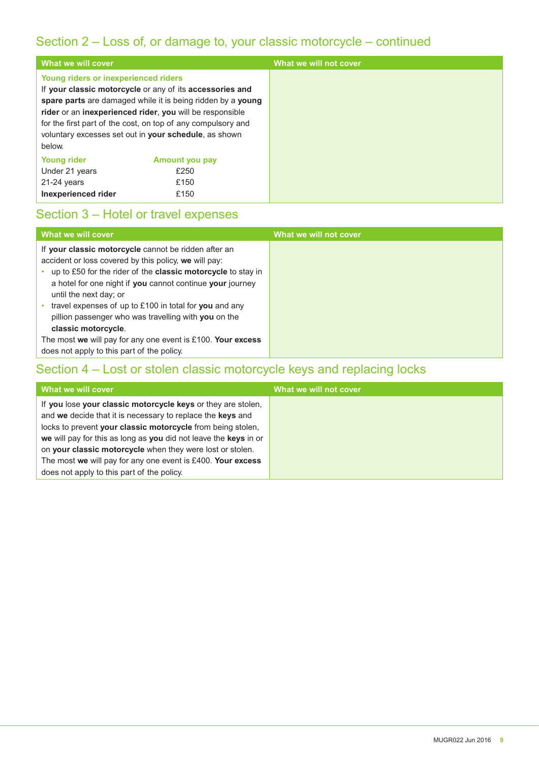### Section 2 – Loss of, or damage to, your classic motorcycle – continued

| What we will cover                                                           |                                                                                                                                                                                                                                                                                                              | What we will not cover |
|------------------------------------------------------------------------------|--------------------------------------------------------------------------------------------------------------------------------------------------------------------------------------------------------------------------------------------------------------------------------------------------------------|------------------------|
| <b>Young riders or inexperienced riders</b><br>below.                        | If your classic motorcycle or any of its accessories and<br>spare parts are damaged while it is being ridden by a young<br>rider or an inexperienced rider, you will be responsible<br>for the first part of the cost, on top of any compulsory and<br>voluntary excesses set out in your schedule, as shown |                        |
| <b>Young rider</b><br>Under 21 years<br>$21-24$ years<br>Inexperienced rider | <b>Amount you pay</b><br>£250<br>£150<br>£150                                                                                                                                                                                                                                                                |                        |

### Section 3 – Hotel or travel expenses

| What we will cover                                                                                                                                                                                                                                                                                                                                                                                                   | What we will not cover |
|----------------------------------------------------------------------------------------------------------------------------------------------------------------------------------------------------------------------------------------------------------------------------------------------------------------------------------------------------------------------------------------------------------------------|------------------------|
| If your classic motorcycle cannot be ridden after an<br>accident or loss covered by this policy, we will pay:<br>up to £50 for the rider of the <b>classic motorcycle</b> to stay in<br>a hotel for one night if you cannot continue your journey<br>until the next day; or<br>travel expenses of up to £100 in total for you and any<br>pillion passenger who was travelling with you on the<br>classic motorcycle. |                        |
| The most we will pay for any one event is $£100$ . Your excess                                                                                                                                                                                                                                                                                                                                                       |                        |
| does not apply to this part of the policy.                                                                                                                                                                                                                                                                                                                                                                           |                        |

### Section 4 – Lost or stolen classic motorcycle keys and replacing locks

| What we will cover                                               | What we will not cover |
|------------------------------------------------------------------|------------------------|
| If you lose your classic motorcycle keys or they are stolen,     |                        |
| and we decide that it is necessary to replace the keys and       |                        |
| locks to prevent your classic motorcycle from being stolen,      |                        |
| we will pay for this as long as you did not leave the keys in or |                        |
| on your classic motorcycle when they were lost or stolen.        |                        |
| The most we will pay for any one event is £400. Your excess      |                        |
| does not apply to this part of the policy.                       |                        |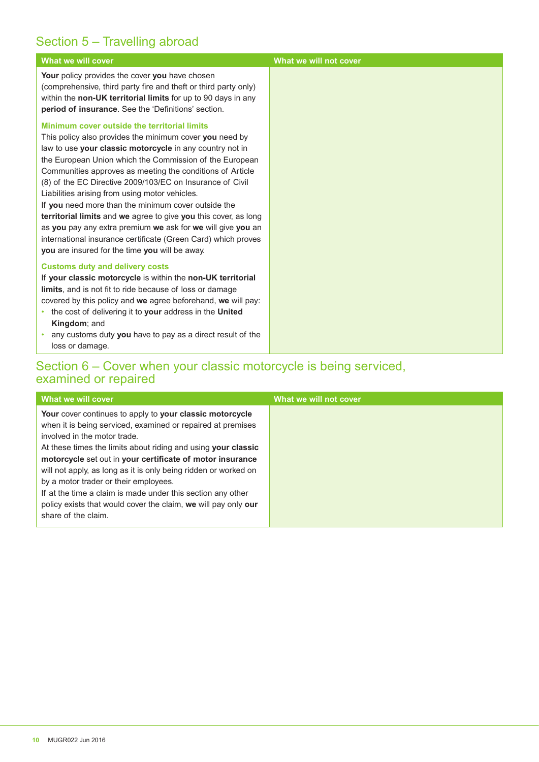### Section 5 – Travelling abroad

| <b>What we will cover</b>                                                                                                                                                                                                                                                                                                                                                                                                                                                                                                                                                                                                                                                                                              | What we will not cover |
|------------------------------------------------------------------------------------------------------------------------------------------------------------------------------------------------------------------------------------------------------------------------------------------------------------------------------------------------------------------------------------------------------------------------------------------------------------------------------------------------------------------------------------------------------------------------------------------------------------------------------------------------------------------------------------------------------------------------|------------------------|
| Your policy provides the cover you have chosen<br>(comprehensive, third party fire and theft or third party only)<br>within the non-UK territorial limits for up to 90 days in any<br><b>period of insurance.</b> See the 'Definitions' section.                                                                                                                                                                                                                                                                                                                                                                                                                                                                       |                        |
| Minimum cover outside the territorial limits<br>This policy also provides the minimum cover you need by<br>law to use your classic motorcycle in any country not in<br>the European Union which the Commission of the European<br>Communities approves as meeting the conditions of Article<br>(8) of the EC Directive 2009/103/EC on Insurance of Civil<br>Liabilities arising from using motor vehicles.<br>If you need more than the minimum cover outside the<br>territorial limits and we agree to give you this cover, as long<br>as you pay any extra premium we ask for we will give you an<br>international insurance certificate (Green Card) which proves<br>you are insured for the time you will be away. |                        |
| <b>Customs duty and delivery costs</b><br>If your classic motorcycle is within the non-UK territorial<br>limits, and is not fit to ride because of loss or damage<br>covered by this policy and we agree beforehand, we will pay:<br>• the cost of delivering it to your address in the United<br>Kingdom; and<br>any customs duty you have to pay as a direct result of the<br>$\bullet$<br>loss or damage.                                                                                                                                                                                                                                                                                                           |                        |

### Section 6 – Cover when your classic motorcycle is being serviced, examined or repaired

| What we will cover                                                                                                                                                                                                                                                                                                                                                                                                                                                                                                                                        | What we will not cover |
|-----------------------------------------------------------------------------------------------------------------------------------------------------------------------------------------------------------------------------------------------------------------------------------------------------------------------------------------------------------------------------------------------------------------------------------------------------------------------------------------------------------------------------------------------------------|------------------------|
| Your cover continues to apply to your classic motorcycle<br>when it is being serviced, examined or repaired at premises<br>involved in the motor trade.<br>At these times the limits about riding and using your classic<br>motorcycle set out in your certificate of motor insurance<br>will not apply, as long as it is only being ridden or worked on<br>by a motor trader or their employees.<br>If at the time a claim is made under this section any other<br>policy exists that would cover the claim, we will pay only our<br>share of the claim. |                        |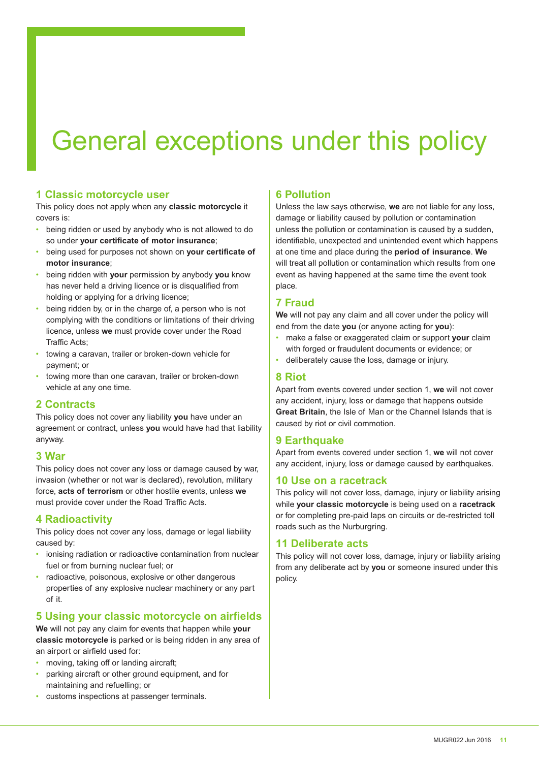# General exceptions under this policy

#### **1 Classic motorcycle user**

This policy does not apply when any **classic motorcycle** it covers is:

- being ridden or used by anybody who is not allowed to do so under **your certificate of motor insurance**;
- being used for purposes not shown on **your certificate of motor insurance**;
- being ridden with **your** permission by anybody **you** know has never held a driving licence or is disqualified from holding or applying for a driving licence;
- being ridden by, or in the charge of, a person who is not complying with the conditions or limitations of their driving licence, unless **we** must provide cover under the Road Traffic Acts;
- towing a caravan, trailer or broken-down vehicle for payment; or
- towing more than one caravan, trailer or broken-down vehicle at any one time.

#### **2 Contracts**

This policy does not cover any liability **you** have under an agreement or contract, unless **you** would have had that liability anyway.

#### **3 War**

This policy does not cover any loss or damage caused by war, invasion (whether or not war is declared), revolution, military force, **acts of terrorism** or other hostile events, unless **we** must provide cover under the Road Traffic Acts.

#### **4 Radioactivity**

This policy does not cover any loss, damage or legal liability caused by:

- ionising radiation or radioactive contamination from nuclear fuel or from burning nuclear fuel; or
- radioactive, poisonous, explosive or other dangerous properties of any explosive nuclear machinery or any part of it.

### **5 Using your classic motorcycle on airfields**

**We** will not pay any claim for events that happen while **your classic motorcycle** is parked or is being ridden in any area of an airport or airfield used for:

- moving, taking off or landing aircraft;
- parking aircraft or other ground equipment, and for maintaining and refuelling; or
- customs inspections at passenger terminals.

#### **6 Pollution**

Unless the law says otherwise, **we** are not liable for any loss, damage or liability caused by pollution or contamination unless the pollution or contamination is caused by a sudden, identifiable, unexpected and unintended event which happens at one time and place during the **period of insurance**. **We** will treat all pollution or contamination which results from one event as having happened at the same time the event took place.

#### **7 Fraud**

**We** will not pay any claim and all cover under the policy will end from the date **you** (or anyone acting for **you**):

- make a false or exaggerated claim or support **your** claim with forged or fraudulent documents or evidence; or
- deliberately cause the loss, damage or injury.

#### **8 Riot**

Apart from events covered under section 1, **we** will not cover any accident, injury, loss or damage that happens outside **Great Britain**, the Isle of Man or the Channel Islands that is caused by riot or civil commotion.

#### **9 Earthquake**

Apart from events covered under section 1, **we** will not cover any accident, injury, loss or damage caused by earthquakes.

#### **10 Use on a racetrack**

This policy will not cover loss, damage, injury or liability arising while **your classic motorcycle** is being used on a **racetrack** or for completing pre-paid laps on circuits or de-restricted toll roads such as the Nurburgring.

#### **11 Deliberate acts**

This policy will not cover loss, damage, injury or liability arising from any deliberate act by **you** or someone insured under this policy.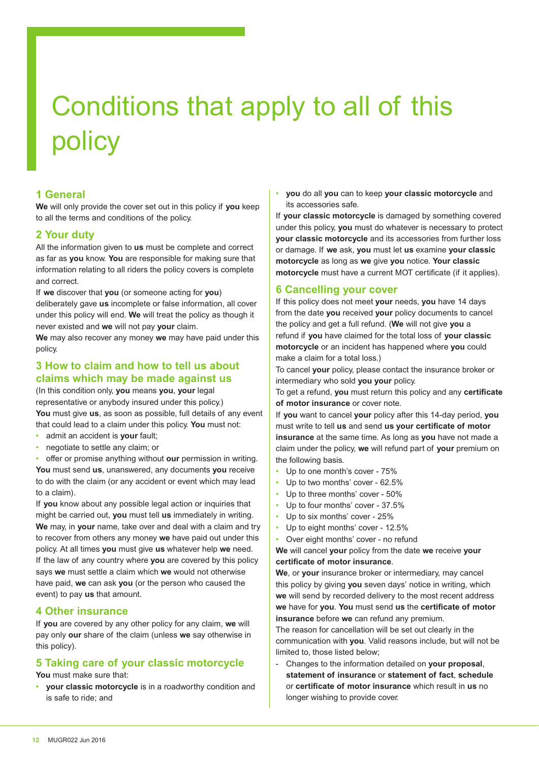# Conditions that apply to all of this policy

#### **1 General**

**We** will only provide the cover set out in this policy if **you** keep to all the terms and conditions of the policy.

#### **2 Your duty**

All the information given to **us** must be complete and correct as far as **you** know. **You** are responsible for making sure that information relating to all riders the policy covers is complete and correct.

If **we** discover that **you** (or someone acting for **you**) deliberately gave **us** incomplete or false information, all cover under this policy will end. **We** will treat the policy as though it never existed and **we** will not pay **your** claim.

**We** may also recover any money **we** may have paid under this policy.

#### **3 How to claim and how to tell us about claims which may be made against us**

(In this condition only, **you** means **you**, **your** legal representative or anybody insured under this policy.) **You** must give **us**, as soon as possible, full details of any event that could lead to a claim under this policy. **You** must not:

- admit an accident is **your** fault;
- negotiate to settle any claim; or

• offer or promise anything without **our** permission in writing.

**You** must send **us**, unanswered, any documents **you** receive to do with the claim (or any accident or event which may lead to a claim).

If **you** know about any possible legal action or inquiries that might be carried out, **you** must tell **us** immediately in writing. **We** may, in **your** name, take over and deal with a claim and try to recover from others any money **we** have paid out under this policy. At all times **you** must give **us** whatever help **we** need. If the law of any country where **you** are covered by this policy says **we** must settle a claim which **we** would not otherwise have paid, **we** can ask **you** (or the person who caused the event) to pay **us** that amount.

#### **4 Other insurance**

If **you** are covered by any other policy for any claim, **we** will pay only **our** share of the claim (unless **we** say otherwise in this policy).

#### **5 Taking care of your classic motorcycle**

**You** must make sure that:

• **your classic motorcycle** is in a roadworthy condition and is safe to ride; and

• **you** do all **you** can to keep **your classic motorcycle** and its accessories safe.

If **your classic motorcycle** is damaged by something covered under this policy, **you** must do whatever is necessary to protect **your classic motorcycle** and its accessories from further loss or damage. If **we** ask, **you** must let **us** examine **your classic motorcycle** as long as **we** give **you** notice. **Your classic motorcycle** must have a current MOT certificate (if it applies).

#### **6 Cancelling your cover**

If this policy does not meet **your** needs, **you** have 14 days from the date **you** received **your** policy documents to cancel the policy and get a full refund. (**We** will not give **you** a refund if **you** have claimed for the total loss of **your classic motorcycle** or an incident has happened where **you** could make a claim for a total loss.)

To cancel **your** policy, please contact the insurance broker or intermediary who sold **you your** policy.

To get a refund, **you** must return this policy and any **certificate of motor insurance** or cover note.

If **you** want to cancel **your** policy after this 14-day period, **you** must write to tell **us** and send **us your certificate of motor insurance** at the same time. As long as **you** have not made a claim under the policy, **we** will refund part of **your** premium on the following basis.

- Up to one month's cover 75%
- Up to two months' cover 62.5%
- Up to three months' cover 50%
- Up to four months' cover 37.5%
- Up to six months' cover 25%
- Up to eight months' cover 12.5%
- Over eight months' cover no refund

**We** will cancel **your** policy from the date **we** receive **your certificate of motor insurance**.

**We**, or **your** insurance broker or intermediary, may cancel this policy by giving **you** seven days' notice in writing, which **we** will send by recorded delivery to the most recent address **we** have for **you**. **You** must send **us** the **certificate of motor insurance** before **we** can refund any premium.

The reason for cancellation will be set out clearly in the communication with **you**. Valid reasons include, but will not be limited to, those listed below;

- Changes to the information detailed on **your proposal**, **statement of insurance** or **statement of fact**, **schedule** or **certificate of motor insurance** which result in **us** no longer wishing to provide cover.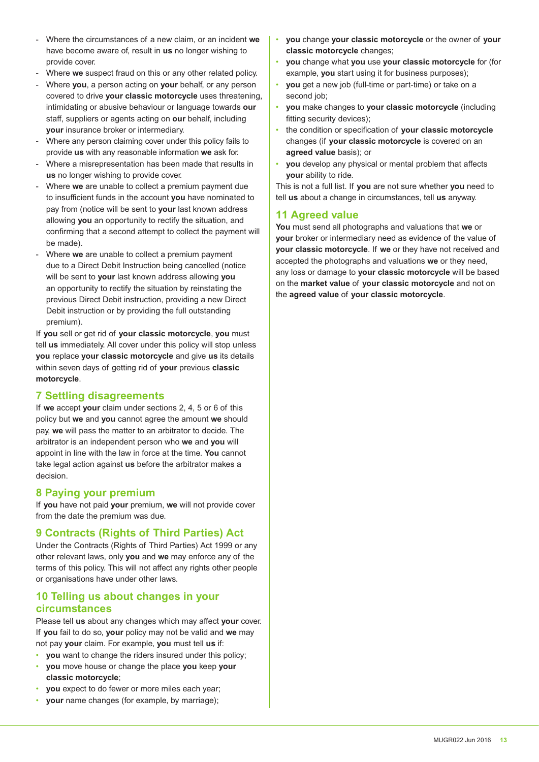- Where the circumstances of a new claim, or an incident **we** have become aware of, result in **us** no longer wishing to provide cover.
- Where **we** suspect fraud on this or any other related policy.
- Where **you**, a person acting on **your** behalf, or any person covered to drive **your classic motorcycle** uses threatening, intimidating or abusive behaviour or language towards **our** staff, suppliers or agents acting on **our** behalf, including **your** insurance broker or intermediary.
- Where any person claiming cover under this policy fails to provide **us** with any reasonable information **we** ask for.
- Where a misrepresentation has been made that results in **us** no longer wishing to provide cover.
- Where **we** are unable to collect a premium payment due to insufficient funds in the account **you** have nominated to pay from (notice will be sent to **your** last known address allowing **you** an opportunity to rectify the situation, and confirming that a second attempt to collect the payment will be made).
- Where **we** are unable to collect a premium payment due to a Direct Debit Instruction being cancelled (notice will be sent to **your** last known address allowing **you** an opportunity to rectify the situation by reinstating the previous Direct Debit instruction, providing a new Direct Debit instruction or by providing the full outstanding premium).

If **you** sell or get rid of **your classic motorcycle**, **you** must tell **us** immediately. All cover under this policy will stop unless **you** replace **your classic motorcycle** and give **us** its details within seven days of getting rid of **your** previous **classic motorcycle**.

#### **7 Settling disagreements**

If **we** accept **your** claim under sections 2, 4, 5 or 6 of this policy but **we** and **you** cannot agree the amount **we** should pay, **we** will pass the matter to an arbitrator to decide. The arbitrator is an independent person who **we** and **you** will appoint in line with the law in force at the time. **You** cannot take legal action against **us** before the arbitrator makes a decision.

#### **8 Paying your premium**

If **you** have not paid **your** premium, **we** will not provide cover from the date the premium was due.

#### **9 Contracts (Rights of Third Parties) Act**

Under the Contracts (Rights of Third Parties) Act 1999 or any other relevant laws, only **you** and **we** may enforce any of the terms of this policy. This will not affect any rights other people or organisations have under other laws.

#### **10 Telling us about changes in your circumstances**

Please tell **us** about any changes which may affect **your** cover. If **you** fail to do so, **your** policy may not be valid and **we** may not pay **your** claim. For example, **you** must tell **us** if:

- **you** want to change the riders insured under this policy;
- **you** move house or change the place **you** keep **your classic motorcycle**;
- **you** expect to do fewer or more miles each year;
- **your** name changes (for example, by marriage);
- **you** change **your classic motorcycle** or the owner of **your classic motorcycle** changes;
- **you** change what **you** use **your classic motorcycle** for (for example, **you** start using it for business purposes);
- **you** get a new job (full-time or part-time) or take on a second job:
- **you** make changes to **your classic motorcycle** (including fitting security devices);
- the condition or specification of **your classic motorcycle** changes (if **your classic motorcycle** is covered on an **agreed value** basis); or
- **you** develop any physical or mental problem that affects **your** ability to ride.

This is not a full list. If **you** are not sure whether **you** need to tell **us** about a change in circumstances, tell **us** anyway.

#### **11 Agreed value**

**You** must send all photographs and valuations that **we** or **your** broker or intermediary need as evidence of the value of **your classic motorcycle**. If **we** or they have not received and accepted the photographs and valuations **we** or they need, any loss or damage to **your classic motorcycle** will be based on the **market value** of **your classic motorcycle** and not on the **agreed value** of **your classic motorcycle**.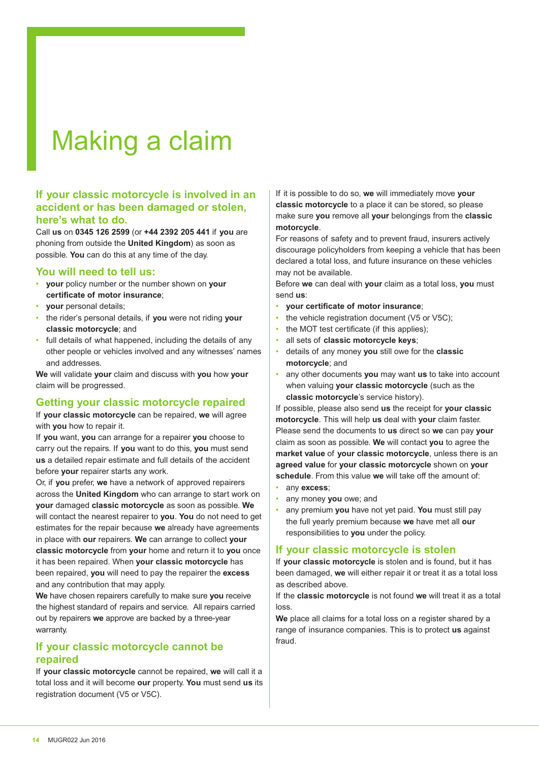# Making a claim

#### **If your classic motorcycle is involved in an accident or has been damaged or stolen, here's what to do.**

Call **us** on **0345 126 2599** (or **+44 2392 205 441** if **you** are phoning from outside the **United Kingdom**) as soon as possible. **You** can do this at any time of the day.

#### **You will need to tell us:**

- **your** policy number or the number shown on **your certificate of motor insurance**;
- **your** personal details;
- the rider's personal details, if **you** were not riding **your classic motorcycle**; and
- full details of what happened, including the details of any other people or vehicles involved and any witnesses' names and addresses.

**We** will validate **your** claim and discuss with **you** how **your** claim will be progressed.

#### **Getting your classic motorcycle repaired**

If **your classic motorcycle** can be repaired, **we** will agree with **you** how to repair it.

If **you** want, **you** can arrange for a repairer **you** choose to carry out the repairs. If **you** want to do this, **you** must send **us** a detailed repair estimate and full details of the accident before **your** repairer starts any work.

Or, if **you** prefer, **we** have a network of approved repairers across the **United Kingdom** who can arrange to start work on **your** damaged **classic motorcycle** as soon as possible. **We** will contact the nearest repairer to **you**. **You** do not need to get estimates for the repair because **we** already have agreements in place with **our** repairers. **We** can arrange to collect **your classic motorcycle** from **your** home and return it to **you** once it has been repaired. When **your classic motorcycle** has been repaired, **you** will need to pay the repairer the **excess** and any contribution that may apply.

**We** have chosen repairers carefully to make sure **you** receive the highest standard of repairs and service. All repairs carried out by repairers **we** approve are backed by a three-year warranty.

#### **If your classic motorcycle cannot be repaired**

If **your classic motorcycle** cannot be repaired, **we** will call it a total loss and it will become **our** property. **You** must send **us** its registration document (V5 or V5C).

If it is possible to do so, **we** will immediately move **your classic motorcycle** to a place it can be stored, so please make sure **you** remove all **your** belongings from the **classic motorcycle**.

For reasons of safety and to prevent fraud, insurers actively discourage policyholders from keeping a vehicle that has been declared a total loss, and future insurance on these vehicles may not be available.

Before **we** can deal with **your** claim as a total loss, **you** must send **us**:

- **your certificate of motor insurance**;
- the vehicle registration document (V5 or V5C);
- the MOT test certificate (if this applies);
- all sets of **classic motorcycle keys**;
- details of any money **you** still owe for the **classic motorcycle**; and
- any other documents **you** may want **us** to take into account when valuing **your classic motorcycle** (such as the **classic motorcycle**'s service history).

If possible, please also send **us** the receipt for **your classic motorcycle**. This will help **us** deal with **your** claim faster. Please send the documents to **us** direct so **we** can pay **your** claim as soon as possible. **We** will contact **you** to agree the **market value** of **your classic motorcycle**, unless there is an **agreed value** for **your classic motorcycle** shown on **your schedule**. From this value **we** will take off the amount of:

- any **excess**;
- any money **you** owe; and
- any premium **you** have not yet paid. **You** must still pay the full yearly premium because **we** have met all **our** responsibilities to **you** under the policy.

#### **If your classic motorcycle is stolen**

If **your classic motorcycle** is stolen and is found, but it has been damaged, **we** will either repair it or treat it as a total loss as described above.

If the **classic motorcycle** is not found **we** will treat it as a total loss.

**We** place all claims for a total loss on a register shared by a range of insurance companies. This is to protect **us** against fraud.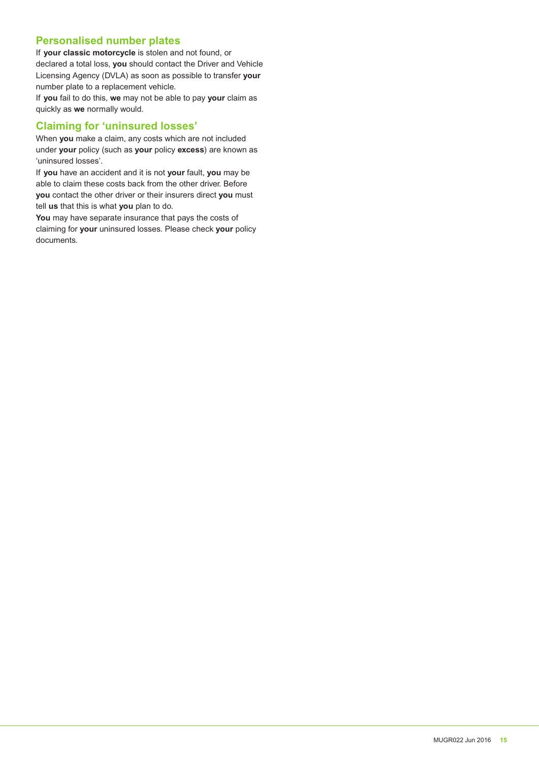### **Personalised number plates**

If **your classic motorcycle** is stolen and not found, or declared a total loss, **you** should contact the Driver and Vehicle Licensing Agency (DVLA) as soon as possible to transfer **your** number plate to a replacement vehicle.

If **you** fail to do this, **we** may not be able to pay **your** claim as quickly as **we** normally would.

#### **Claiming for 'uninsured losses'**

When **you** make a claim, any costs which are not included under **your** policy (such as **your** policy **excess**) are known as 'uninsured losses'.

If **you** have an accident and it is not **your** fault, **you** may be able to claim these costs back from the other driver. Before **you** contact the other driver or their insurers direct **you** must tell **us** that this is what **you** plan to do.

**You** may have separate insurance that pays the costs of claiming for **your** uninsured losses. Please check **your** policy documents.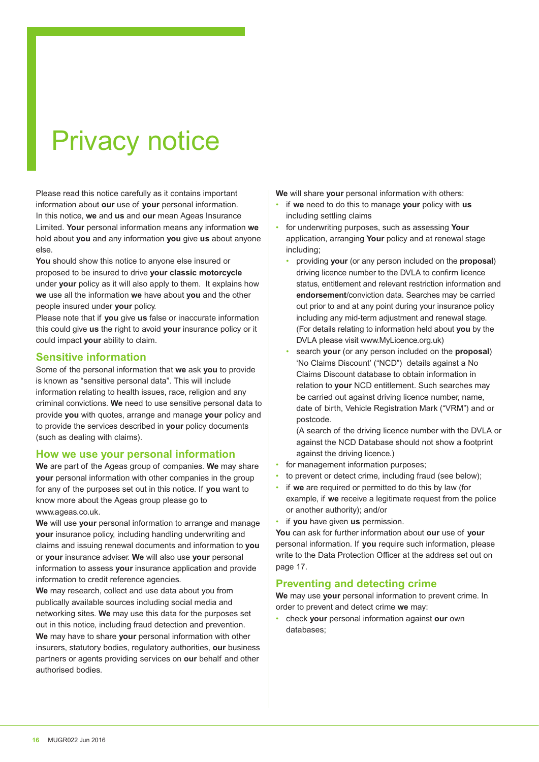# Privacy notice

Please read this notice carefully as it contains important information about **our** use of **your** personal information. In this notice, **we** and **us** and **our** mean Ageas Insurance Limited. **Your** personal information means any information **we** hold about **you** and any information **you** give **us** about anyone else.

**You** should show this notice to anyone else insured or proposed to be insured to drive **your classic motorcycle** under **your** policy as it will also apply to them. It explains how **we** use all the information **we** have about **you** and the other people insured under **your** policy.

Please note that if **you** give **us** false or inaccurate information this could give **us** the right to avoid **your** insurance policy or it could impact **your** ability to claim.

#### **Sensitive information**

Some of the personal information that **we** ask **you** to provide is known as "sensitive personal data". This will include information relating to health issues, race, religion and any criminal convictions. **We** need to use sensitive personal data to provide **you** with quotes, arrange and manage **your** policy and to provide the services described in **your** policy documents (such as dealing with claims).

#### **How we use your personal information**

**We** are part of the Ageas group of companies. **We** may share **your** personal information with other companies in the group for any of the purposes set out in this notice. If **you** want to know more about the Ageas group please go to www.ageas.co.uk.

**We** will use **your** personal information to arrange and manage **your** insurance policy, including handling underwriting and claims and issuing renewal documents and information to **you** or **your** insurance adviser. **We** will also use **your** personal information to assess **your** insurance application and provide information to credit reference agencies.

**We** may research, collect and use data about you from publically available sources including social media and networking sites. **We** may use this data for the purposes set out in this notice, including fraud detection and prevention. **We** may have to share **your** personal information with other insurers, statutory bodies, regulatory authorities, **our** business partners or agents providing services on **our** behalf and other authorised bodies.

**We** will share **your** personal information with others:

- if **we** need to do this to manage **your** policy with **us** including settling claims
- for underwriting purposes, such as assessing **Your** application, arranging **Your** policy and at renewal stage including;
	- providing **your** (or any person included on the **proposal**) driving licence number to the DVLA to confirm licence status, entitlement and relevant restriction information and **endorsement**/conviction data. Searches may be carried out prior to and at any point during your insurance policy including any mid-term adjustment and renewal stage. (For details relating to information held about **you** by the DVLA please visit www.MyLicence.org.uk)
	- search **your** (or any person included on the **proposal**) 'No Claims Discount' ("NCD") details against a No Claims Discount database to obtain information in relation to **your** NCD entitlement. Such searches may be carried out against driving licence number, name, date of birth, Vehicle Registration Mark ("VRM") and or postcode.

(A search of the driving licence number with the DVLA or against the NCD Database should not show a footprint against the driving licence.)

- for management information purposes:
- to prevent or detect crime, including fraud (see below);
- if **we** are required or permitted to do this by law (for example, if **we** receive a legitimate request from the police or another authority); and/or

• if **you** have given **us** permission.

**You** can ask for further information about **our** use of **your** personal information. If **you** require such information, please write to the Data Protection Officer at the address set out on page 17.

#### **Preventing and detecting crime**

**We** may use **your** personal information to prevent crime. In order to prevent and detect crime **we** may:

• check **your** personal information against **our** own databases;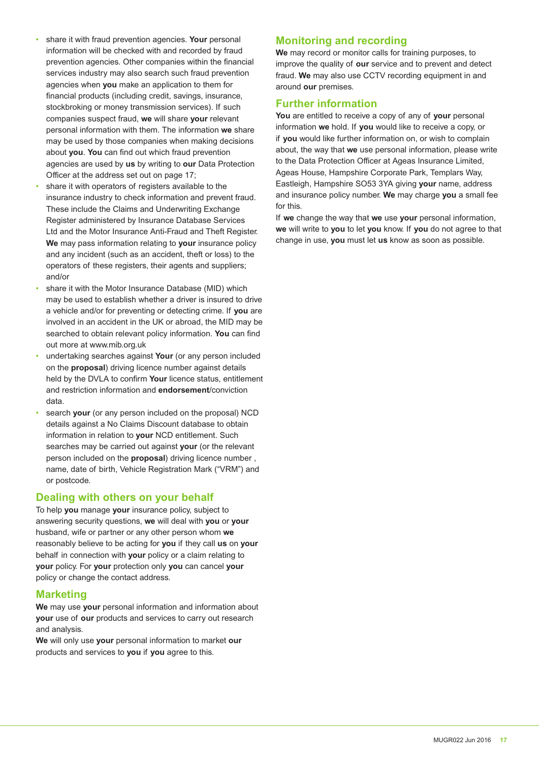- share it with fraud prevention agencies. **Your** personal information will be checked with and recorded by fraud prevention agencies. Other companies within the financial services industry may also search such fraud prevention agencies when **you** make an application to them for financial products (including credit, savings, insurance, stockbroking or money transmission services). If such companies suspect fraud, **we** will share **your** relevant personal information with them. The information **we** share may be used by those companies when making decisions about **you**. **You** can find out which fraud prevention agencies are used by **us** by writing to **our** Data Protection Officer at the address set out on page 17;
- share it with operators of registers available to the insurance industry to check information and prevent fraud. These include the Claims and Underwriting Exchange Register administered by Insurance Database Services Ltd and the Motor Insurance Anti-Fraud and Theft Register. **We** may pass information relating to **your** insurance policy and any incident (such as an accident, theft or loss) to the operators of these registers, their agents and suppliers; and/or
- share it with the Motor Insurance Database (MID) which may be used to establish whether a driver is insured to drive a vehicle and/or for preventing or detecting crime. If **you** are involved in an accident in the UK or abroad, the MID may be searched to obtain relevant policy information. **You** can find out more at www.mib.org.uk
- undertaking searches against **Your** (or any person included on the **proposal**) driving licence number against details held by the DVLA to confirm **Your** licence status, entitlement and restriction information and **endorsement**/conviction data.
- search **your** (or any person included on the proposal) NCD details against a No Claims Discount database to obtain information in relation to **your** NCD entitlement. Such searches may be carried out against **your** (or the relevant person included on the **proposal**) driving licence number , name, date of birth, Vehicle Registration Mark ("VRM") and or postcode.

#### **Dealing with others on your behalf**

To help **you** manage **your** insurance policy, subject to answering security questions, **we** will deal with **you** or **your** husband, wife or partner or any other person whom **we** reasonably believe to be acting for **you** if they call **us** on **your** behalf in connection with **your** policy or a claim relating to **your** policy. For **your** protection only **you** can cancel **your** policy or change the contact address.

#### **Marketing**

**We** may use **your** personal information and information about **your** use of **our** products and services to carry out research and analysis.

**We** will only use **your** personal information to market **our** products and services to **you** if **you** agree to this.

#### **Monitoring and recording**

**We** may record or monitor calls for training purposes, to improve the quality of **our** service and to prevent and detect fraud. **We** may also use CCTV recording equipment in and around **our** premises.

### **Further information**

**You** are entitled to receive a copy of any of **your** personal information **we** hold. If **you** would like to receive a copy, or if **you** would like further information on, or wish to complain about, the way that **we** use personal information, please write to the Data Protection Officer at Ageas Insurance Limited, Ageas House, Hampshire Corporate Park, Templars Way, Eastleigh, Hampshire SO53 3YA giving **your** name, address and insurance policy number. **We** may charge **you** a small fee for this.

If **we** change the way that **we** use **your** personal information, **we** will write to **you** to let **you** know. If **you** do not agree to that change in use, **you** must let **us** know as soon as possible.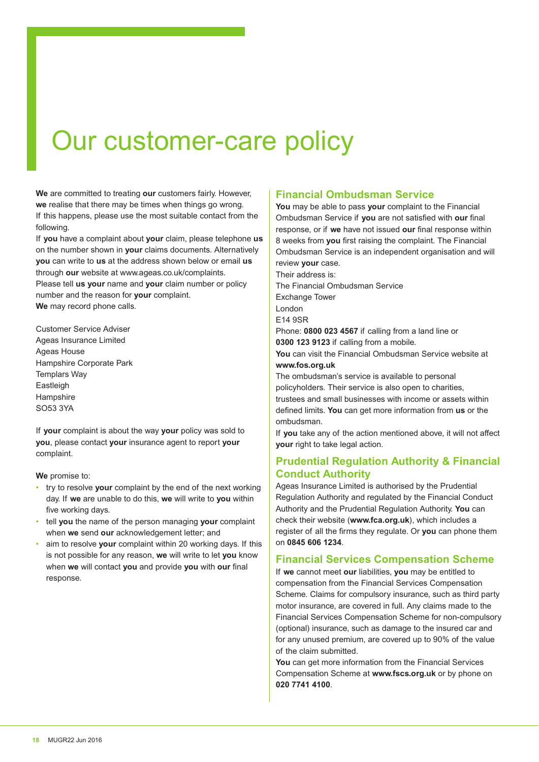# Our customer-care policy

**We** are committed to treating **our** customers fairly. However, **we** realise that there may be times when things go wrong. If this happens, please use the most suitable contact from the following.

If **you** have a complaint about **your** claim, please telephone **us** on the number shown in **your** claims documents. Alternatively **you** can write to **us** at the address shown below or email **us** through **our** website at www.ageas.co.uk/complaints. Please tell **us your** name and **your** claim number or policy number and the reason for **your** complaint. **We** may record phone calls.

Customer Service Adviser Ageas Insurance Limited Ageas House Hampshire Corporate Park Templars Way Eastleigh **Hampshire** SO53 3YA

If **your** complaint is about the way **your** policy was sold to **you**, please contact **your** insurance agent to report **your** complaint.

**We** promise to:

- try to resolve **your** complaint by the end of the next working day. If **we** are unable to do this, **we** will write to **you** within five working days.
- tell **you** the name of the person managing **your** complaint when **we** send **our** acknowledgement letter; and
- aim to resolve **your** complaint within 20 working days. If this is not possible for any reason, **we** will write to let **you** know when **we** will contact **you** and provide **you** with **our** final response.

### **Financial Ombudsman Service**

**You** may be able to pass **your** complaint to the Financial Ombudsman Service if **you** are not satisfied with **our** final response, or if **we** have not issued **our** final response within 8 weeks from **you** first raising the complaint. The Financial Ombudsman Service is an independent organisation and will review **your** case.

Their address is: The Financial Ombudsman Service Exchange Tower London E14 9SR Phone: **0800 023 4567** if calling from a land line or **0300 123 9123** if calling from a mobile. **You** can visit the Financial Ombudsman Service website at **www.fos.org.uk** The ombudsman's service is available to personal policyholders. Their service is also open to charities, trustees and small businesses with income or assets within defined limits. **You** can get more information from **us** or the ombudsman.

If **you** take any of the action mentioned above, it will not affect **your** right to take legal action.

### **Prudential Regulation Authority & Financial Conduct Authority**

Ageas Insurance Limited is authorised by the Prudential Regulation Authority and regulated by the Financial Conduct Authority and the Prudential Regulation Authority. **You** can check their website (**www.fca.org.uk**), which includes a register of all the firms they regulate. Or **you** can phone them on **0845 606 1234**.

#### **Financial Services Compensation Scheme**

If **we** cannot meet **our** liabilities, **you** may be entitled to compensation from the Financial Services Compensation Scheme. Claims for compulsory insurance, such as third party motor insurance, are covered in full. Any claims made to the Financial Services Compensation Scheme for non-compulsory (optional) insurance, such as damage to the insured car and for any unused premium, are covered up to 90% of the value of the claim submitted.

**You** can get more information from the Financial Services Compensation Scheme at **www.fscs.org.uk** or by phone on **020 7741 4100**.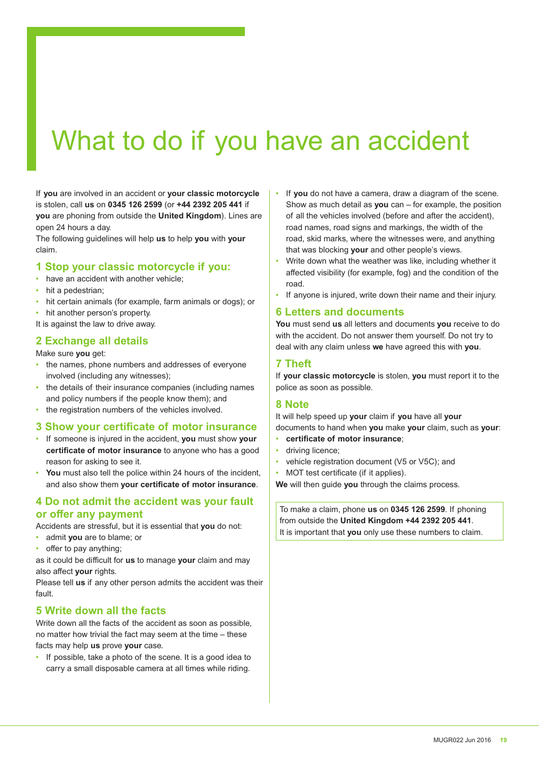# What to do if you have an accident

If **you** are involved in an accident or **your classic motorcycle** is stolen, call **us** on **0345 126 2599** (or **+44 2392 205 441** if **you** are phoning from outside the **United Kingdom**). Lines are open 24 hours a day.

The following guidelines will help **us** to help **you** with **your** claim.

#### **1 Stop your classic motorcycle if you:**

- have an accident with another vehicle:
- hit a pedestrian:
- hit certain animals (for example, farm animals or dogs); or
- hit another person's property.

It is against the law to drive away.

#### **2 Exchange all details**

Make sure **you** get:

- the names, phone numbers and addresses of everyone involved (including any witnesses);
- the details of their insurance companies (including names and policy numbers if the people know them); and
- the registration numbers of the vehicles involved.

#### **3 Show your certificate of motor insurance**

- If someone is injured in the accident, **you** must show **your certificate of motor insurance** to anyone who has a good reason for asking to see it.
- **You** must also tell the police within 24 hours of the incident, and also show them **your certificate of motor insurance**.

#### **4 Do not admit the accident was your fault or offer any payment**

Accidents are stressful, but it is essential that **you** do not:

- admit **you** are to blame; or
- offer to pay anything;

as it could be difficult for **us** to manage **your** claim and may also affect **your** rights.

Please tell **us** if any other person admits the accident was their fault.

#### **5 Write down all the facts**

Write down all the facts of the accident as soon as possible, no matter how trivial the fact may seem at the time – these facts may help **us** prove **your** case.

• If possible, take a photo of the scene. It is a good idea to carry a small disposable camera at all times while riding.

- If **you** do not have a camera, draw a diagram of the scene. Show as much detail as **you** can – for example, the position of all the vehicles involved (before and after the accident), road names, road signs and markings, the width of the road, skid marks, where the witnesses were, and anything that was blocking **your** and other people's views.
- Write down what the weather was like, including whether it affected visibility (for example, fog) and the condition of the road.
- If anyone is injured, write down their name and their injury.

#### **6 Letters and documents**

**You** must send **us** all letters and documents **you** receive to do with the accident. Do not answer them yourself. Do not try to deal with any claim unless **we** have agreed this with **you**.

#### **7 Theft**

If **your classic motorcycle** is stolen, **you** must report it to the police as soon as possible.

#### **8 Note**

It will help speed up **your** claim if **you** have all **your** documents to hand when **you** make **your** claim, such as **your**:

- **certificate of motor insurance**;
- driving licence;
- vehicle registration document (V5 or V5C); and
- MOT test certificate (if it applies).

**We** will then guide **you** through the claims process.

To make a claim, phone **us** on **0345 126 2599**. If phoning from outside the **United Kingdom +44 2392 205 441**. It is important that **you** only use these numbers to claim.